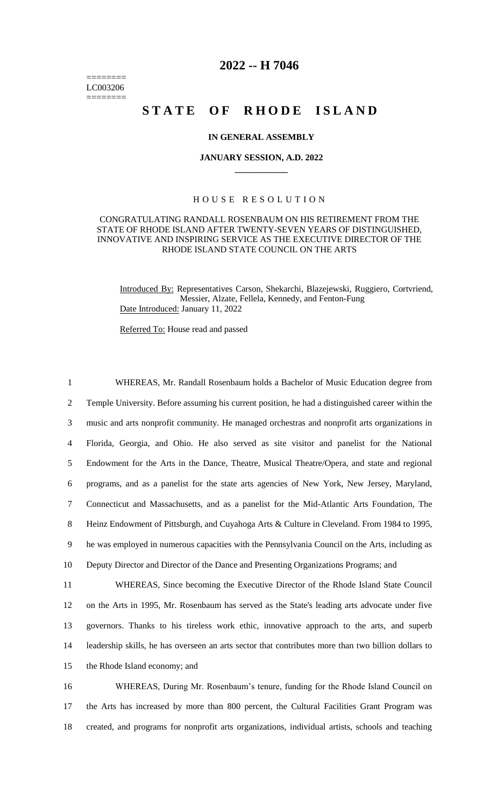======== LC003206 ========

# **2022 -- H 7046**

# **STATE OF RHODE ISLAND**

# **IN GENERAL ASSEMBLY**

#### **JANUARY SESSION, A.D. 2022 \_\_\_\_\_\_\_\_\_\_\_\_**

# H O U S E R E S O L U T I O N

### CONGRATULATING RANDALL ROSENBAUM ON HIS RETIREMENT FROM THE STATE OF RHODE ISLAND AFTER TWENTY-SEVEN YEARS OF DISTINGUISHED, INNOVATIVE AND INSPIRING SERVICE AS THE EXECUTIVE DIRECTOR OF THE RHODE ISLAND STATE COUNCIL ON THE ARTS

Introduced By: Representatives Carson, Shekarchi, Blazejewski, Ruggiero, Cortvriend, Messier, Alzate, Fellela, Kennedy, and Fenton-Fung Date Introduced: January 11, 2022

Referred To: House read and passed

 WHEREAS, Mr. Randall Rosenbaum holds a Bachelor of Music Education degree from Temple University. Before assuming his current position, he had a distinguished career within the music and arts nonprofit community. He managed orchestras and nonprofit arts organizations in Florida, Georgia, and Ohio. He also served as site visitor and panelist for the National Endowment for the Arts in the Dance, Theatre, Musical Theatre/Opera, and state and regional programs, and as a panelist for the state arts agencies of New York, New Jersey, Maryland, Connecticut and Massachusetts, and as a panelist for the Mid-Atlantic Arts Foundation, The Heinz Endowment of Pittsburgh, and Cuyahoga Arts & Culture in Cleveland. From 1984 to 1995, he was employed in numerous capacities with the Pennsylvania Council on the Arts, including as Deputy Director and Director of the Dance and Presenting Organizations Programs; and WHEREAS, Since becoming the Executive Director of the Rhode Island State Council on the Arts in 1995, Mr. Rosenbaum has served as the State's leading arts advocate under five governors. Thanks to his tireless work ethic, innovative approach to the arts, and superb leadership skills, he has overseen an arts sector that contributes more than two billion dollars to the Rhode Island economy; and WHEREAS, During Mr. Rosenbaum's tenure, funding for the Rhode Island Council on

17 the Arts has increased by more than 800 percent, the Cultural Facilities Grant Program was 18 created, and programs for nonprofit arts organizations, individual artists, schools and teaching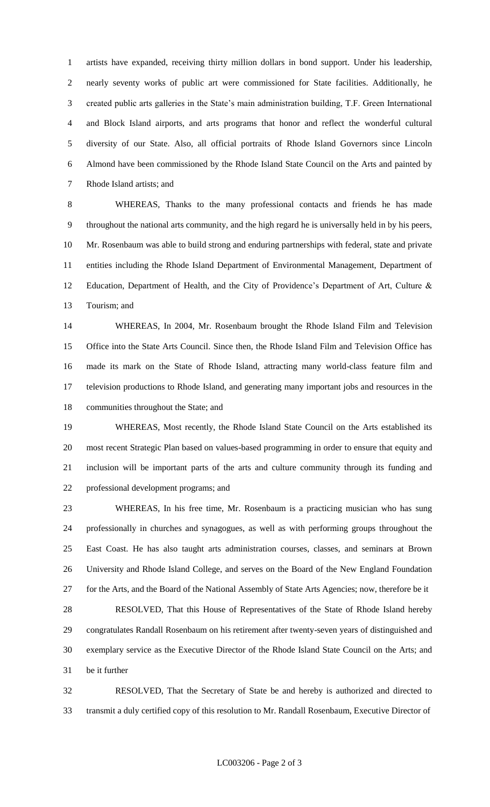artists have expanded, receiving thirty million dollars in bond support. Under his leadership, nearly seventy works of public art were commissioned for State facilities. Additionally, he created public arts galleries in the State's main administration building, T.F. Green International and Block Island airports, and arts programs that honor and reflect the wonderful cultural diversity of our State. Also, all official portraits of Rhode Island Governors since Lincoln Almond have been commissioned by the Rhode Island State Council on the Arts and painted by Rhode Island artists; and

 WHEREAS, Thanks to the many professional contacts and friends he has made throughout the national arts community, and the high regard he is universally held in by his peers, Mr. Rosenbaum was able to build strong and enduring partnerships with federal, state and private entities including the Rhode Island Department of Environmental Management, Department of 12 Education, Department of Health, and the City of Providence's Department of Art, Culture & Tourism; and

 WHEREAS, In 2004, Mr. Rosenbaum brought the Rhode Island Film and Television Office into the State Arts Council. Since then, the Rhode Island Film and Television Office has made its mark on the State of Rhode Island, attracting many world-class feature film and television productions to Rhode Island, and generating many important jobs and resources in the communities throughout the State; and

 WHEREAS, Most recently, the Rhode Island State Council on the Arts established its most recent Strategic Plan based on values-based programming in order to ensure that equity and inclusion will be important parts of the arts and culture community through its funding and professional development programs; and

 WHEREAS, In his free time, Mr. Rosenbaum is a practicing musician who has sung professionally in churches and synagogues, as well as with performing groups throughout the East Coast. He has also taught arts administration courses, classes, and seminars at Brown University and Rhode Island College, and serves on the Board of the New England Foundation for the Arts, and the Board of the National Assembly of State Arts Agencies; now, therefore be it

 RESOLVED, That this House of Representatives of the State of Rhode Island hereby congratulates Randall Rosenbaum on his retirement after twenty-seven years of distinguished and exemplary service as the Executive Director of the Rhode Island State Council on the Arts; and be it further

 RESOLVED, That the Secretary of State be and hereby is authorized and directed to transmit a duly certified copy of this resolution to Mr. Randall Rosenbaum, Executive Director of